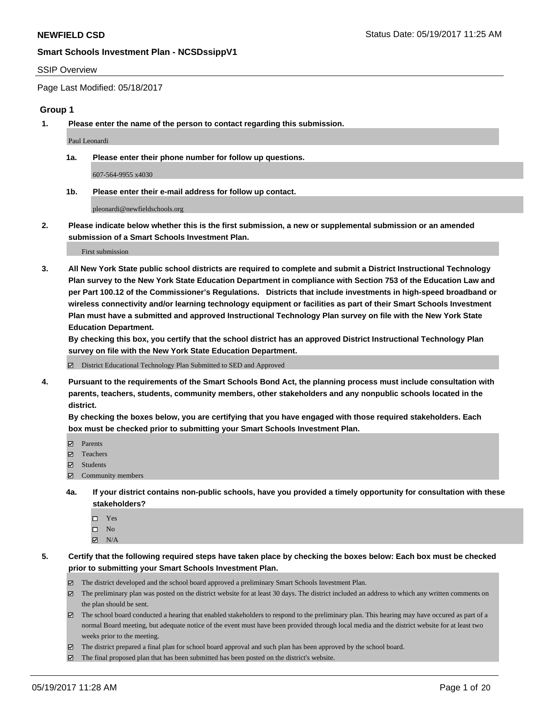#### SSIP Overview

Page Last Modified: 05/18/2017

#### **Group 1**

**1. Please enter the name of the person to contact regarding this submission.**

Paul Leonardi

**1a. Please enter their phone number for follow up questions.**

607-564-9955 x4030

**1b. Please enter their e-mail address for follow up contact.**

pleonardi@newfieldschools.org

**2. Please indicate below whether this is the first submission, a new or supplemental submission or an amended submission of a Smart Schools Investment Plan.**

First submission

**3. All New York State public school districts are required to complete and submit a District Instructional Technology Plan survey to the New York State Education Department in compliance with Section 753 of the Education Law and per Part 100.12 of the Commissioner's Regulations. Districts that include investments in high-speed broadband or wireless connectivity and/or learning technology equipment or facilities as part of their Smart Schools Investment Plan must have a submitted and approved Instructional Technology Plan survey on file with the New York State Education Department.** 

**By checking this box, you certify that the school district has an approved District Instructional Technology Plan survey on file with the New York State Education Department.**

District Educational Technology Plan Submitted to SED and Approved

**4. Pursuant to the requirements of the Smart Schools Bond Act, the planning process must include consultation with parents, teachers, students, community members, other stakeholders and any nonpublic schools located in the district.** 

**By checking the boxes below, you are certifying that you have engaged with those required stakeholders. Each box must be checked prior to submitting your Smart Schools Investment Plan.**

- **マ** Parents
- □ Teachers
- Students
- $\Xi$  Community members
- **4a. If your district contains non-public schools, have you provided a timely opportunity for consultation with these stakeholders?**
	- Yes
	- $\hfill \square$  No
	- $\boxtimes$  N/A
- **5. Certify that the following required steps have taken place by checking the boxes below: Each box must be checked prior to submitting your Smart Schools Investment Plan.**
	- The district developed and the school board approved a preliminary Smart Schools Investment Plan.
	- $\boxtimes$  The preliminary plan was posted on the district website for at least 30 days. The district included an address to which any written comments on the plan should be sent.
	- $\boxtimes$  The school board conducted a hearing that enabled stakeholders to respond to the preliminary plan. This hearing may have occured as part of a normal Board meeting, but adequate notice of the event must have been provided through local media and the district website for at least two weeks prior to the meeting.
	- The district prepared a final plan for school board approval and such plan has been approved by the school board.
	- $\boxtimes$  The final proposed plan that has been submitted has been posted on the district's website.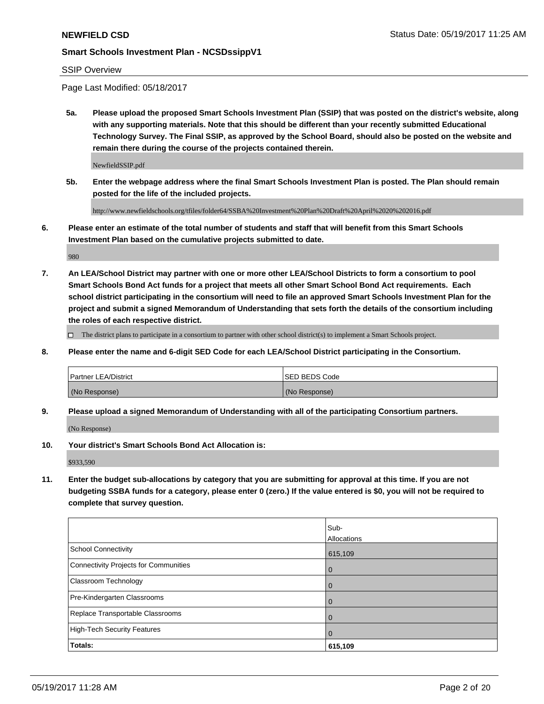#### SSIP Overview

Page Last Modified: 05/18/2017

**5a. Please upload the proposed Smart Schools Investment Plan (SSIP) that was posted on the district's website, along with any supporting materials. Note that this should be different than your recently submitted Educational Technology Survey. The Final SSIP, as approved by the School Board, should also be posted on the website and remain there during the course of the projects contained therein.**

NewfieldSSIP.pdf

**5b. Enter the webpage address where the final Smart Schools Investment Plan is posted. The Plan should remain posted for the life of the included projects.**

http://www.newfieldschools.org/tfiles/folder64/SSBA%20Investment%20Plan%20Draft%20April%2020%202016.pdf

**6. Please enter an estimate of the total number of students and staff that will benefit from this Smart Schools Investment Plan based on the cumulative projects submitted to date.**

980

**7. An LEA/School District may partner with one or more other LEA/School Districts to form a consortium to pool Smart Schools Bond Act funds for a project that meets all other Smart School Bond Act requirements. Each school district participating in the consortium will need to file an approved Smart Schools Investment Plan for the project and submit a signed Memorandum of Understanding that sets forth the details of the consortium including the roles of each respective district.**

 $\Box$  The district plans to participate in a consortium to partner with other school district(s) to implement a Smart Schools project.

**8. Please enter the name and 6-digit SED Code for each LEA/School District participating in the Consortium.**

| <b>Partner LEA/District</b> | <b>ISED BEDS Code</b> |
|-----------------------------|-----------------------|
| (No Response)               | (No Response)         |

**9. Please upload a signed Memorandum of Understanding with all of the participating Consortium partners.**

(No Response)

**10. Your district's Smart Schools Bond Act Allocation is:**

\$933,590

**11. Enter the budget sub-allocations by category that you are submitting for approval at this time. If you are not budgeting SSBA funds for a category, please enter 0 (zero.) If the value entered is \$0, you will not be required to complete that survey question.**

|                                              | Sub-           |
|----------------------------------------------|----------------|
|                                              | Allocations    |
| <b>School Connectivity</b>                   | 615,109        |
| <b>Connectivity Projects for Communities</b> | 0              |
| Classroom Technology                         | $\overline{0}$ |
| Pre-Kindergarten Classrooms                  | $\overline{0}$ |
| Replace Transportable Classrooms             | 0              |
| <b>High-Tech Security Features</b>           | $\overline{0}$ |
| Totals:                                      | 615,109        |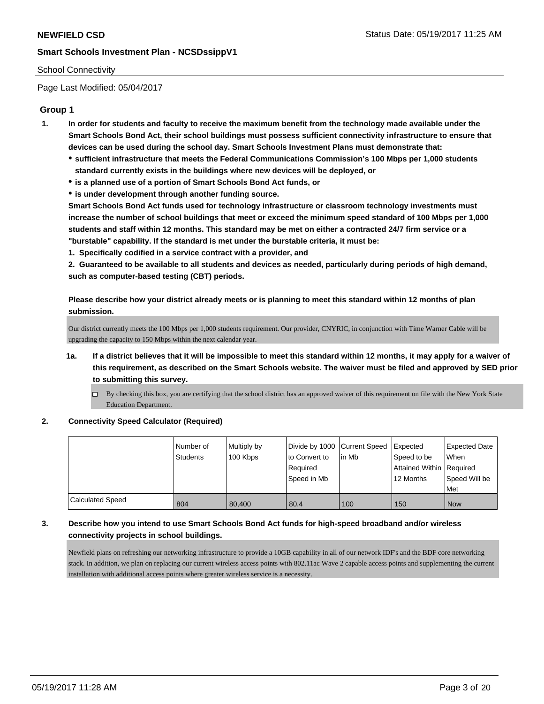#### School Connectivity

Page Last Modified: 05/04/2017

## **Group 1**

- **1. In order for students and faculty to receive the maximum benefit from the technology made available under the Smart Schools Bond Act, their school buildings must possess sufficient connectivity infrastructure to ensure that devices can be used during the school day. Smart Schools Investment Plans must demonstrate that:**
	- **sufficient infrastructure that meets the Federal Communications Commission's 100 Mbps per 1,000 students standard currently exists in the buildings where new devices will be deployed, or**
	- **is a planned use of a portion of Smart Schools Bond Act funds, or**
	- **is under development through another funding source.**

**Smart Schools Bond Act funds used for technology infrastructure or classroom technology investments must increase the number of school buildings that meet or exceed the minimum speed standard of 100 Mbps per 1,000 students and staff within 12 months. This standard may be met on either a contracted 24/7 firm service or a "burstable" capability. If the standard is met under the burstable criteria, it must be:**

**1. Specifically codified in a service contract with a provider, and**

**2. Guaranteed to be available to all students and devices as needed, particularly during periods of high demand, such as computer-based testing (CBT) periods.**

**Please describe how your district already meets or is planning to meet this standard within 12 months of plan submission.**

Our district currently meets the 100 Mbps per 1,000 students requirement. Our provider, CNYRIC, in conjunction with Time Warner Cable will be upgrading the capacity to 150 Mbps within the next calendar year.

- **1a. If a district believes that it will be impossible to meet this standard within 12 months, it may apply for a waiver of this requirement, as described on the Smart Schools website. The waiver must be filed and approved by SED prior to submitting this survey.**
	- By checking this box, you are certifying that the school district has an approved waiver of this requirement on file with the New York State Education Department.

#### **2. Connectivity Speed Calculator (Required)**

|                  | Number of<br><b>Students</b> | Multiply by<br>100 Kbps | Divide by 1000 Current Speed<br>to Convert to<br>Required<br>Speed in Mb | lin Mb | Expected<br>Speed to be<br>Attained Within   Required<br>12 Months | <b>Expected Date</b><br>When<br>Speed Will be<br>Met |
|------------------|------------------------------|-------------------------|--------------------------------------------------------------------------|--------|--------------------------------------------------------------------|------------------------------------------------------|
| Calculated Speed | 804                          | 80.400                  | 80.4                                                                     | 100    | 150                                                                | <b>Now</b>                                           |

## **3. Describe how you intend to use Smart Schools Bond Act funds for high-speed broadband and/or wireless connectivity projects in school buildings.**

Newfield plans on refreshing our networking infrastructure to provide a 10GB capability in all of our network IDF's and the BDF core networking stack. In addition, we plan on replacing our current wireless access points with 802.11ac Wave 2 capable access points and supplementing the current installation with additional access points where greater wireless service is a necessity.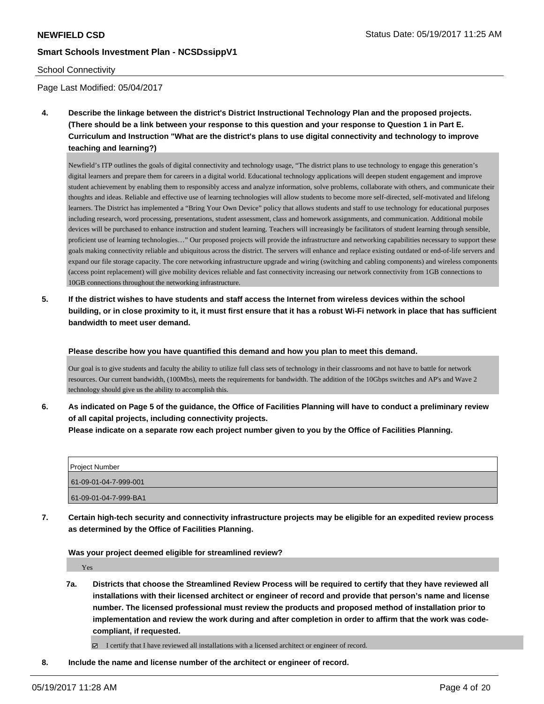#### School Connectivity

Page Last Modified: 05/04/2017

**4. Describe the linkage between the district's District Instructional Technology Plan and the proposed projects. (There should be a link between your response to this question and your response to Question 1 in Part E. Curriculum and Instruction "What are the district's plans to use digital connectivity and technology to improve teaching and learning?)**

Newfield's ITP outlines the goals of digital connectivity and technology usage, "The district plans to use technology to engage this generation's digital learners and prepare them for careers in a digital world. Educational technology applications will deepen student engagement and improve student achievement by enabling them to responsibly access and analyze information, solve problems, collaborate with others, and communicate their thoughts and ideas. Reliable and effective use of learning technologies will allow students to become more self-directed, self-motivated and lifelong learners. The District has implemented a "Bring Your Own Device" policy that allows students and staff to use technology for educational purposes including research, word processing, presentations, student assessment, class and homework assignments, and communication. Additional mobile devices will be purchased to enhance instruction and student learning. Teachers will increasingly be facilitators of student learning through sensible, proficient use of learning technologies…" Our proposed projects will provide the infrastructure and networking capabilities necessary to support these goals making connectivity reliable and ubiquitous across the district. The servers will enhance and replace existing outdated or end-of-life servers and expand our file storage capacity. The core networking infrastructure upgrade and wiring (switching and cabling components) and wireless components (access point replacement) will give mobility devices reliable and fast connectivity increasing our network connectivity from 1GB connections to 10GB connections throughout the networking infrastructure.

**5. If the district wishes to have students and staff access the Internet from wireless devices within the school building, or in close proximity to it, it must first ensure that it has a robust Wi-Fi network in place that has sufficient bandwidth to meet user demand.**

**Please describe how you have quantified this demand and how you plan to meet this demand.**

Our goal is to give students and faculty the ability to utilize full class sets of technology in their classrooms and not have to battle for network resources. Our current bandwidth, (100Mbs), meets the requirements for bandwidth. The addition of the 10Gbps switches and AP's and Wave 2 technology should give us the ability to accomplish this.

**6. As indicated on Page 5 of the guidance, the Office of Facilities Planning will have to conduct a preliminary review of all capital projects, including connectivity projects.**

**Please indicate on a separate row each project number given to you by the Office of Facilities Planning.**

| <b>Project Number</b> |
|-----------------------|
| 61-09-01-04-7-999-001 |
| 61-09-01-04-7-999-BA1 |

**7. Certain high-tech security and connectivity infrastructure projects may be eligible for an expedited review process as determined by the Office of Facilities Planning.**

**Was your project deemed eligible for streamlined review?**

Yes

**7a. Districts that choose the Streamlined Review Process will be required to certify that they have reviewed all installations with their licensed architect or engineer of record and provide that person's name and license number. The licensed professional must review the products and proposed method of installation prior to implementation and review the work during and after completion in order to affirm that the work was codecompliant, if requested.**

I certify that I have reviewed all installations with a licensed architect or engineer of record.

**8. Include the name and license number of the architect or engineer of record.**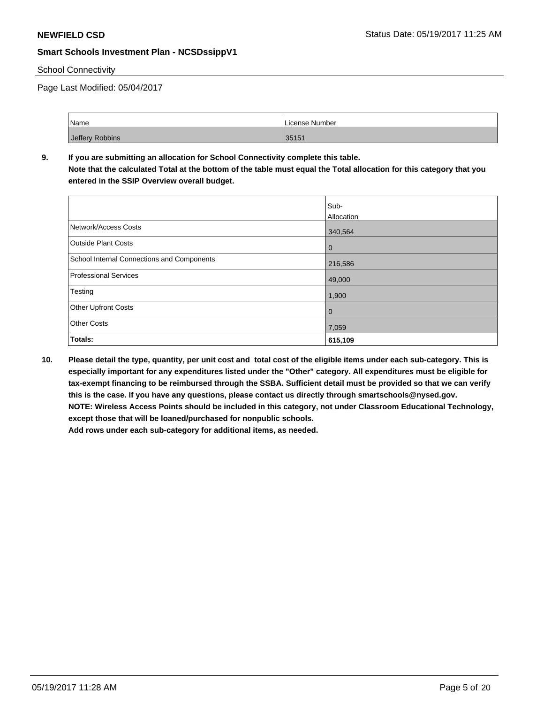#### School Connectivity

Page Last Modified: 05/04/2017

| Name            | License Number |
|-----------------|----------------|
| Jeffery Robbins | 35151          |

## **9. If you are submitting an allocation for School Connectivity complete this table. Note that the calculated Total at the bottom of the table must equal the Total allocation for this category that you**

**entered in the SSIP Overview overall budget.** 

|                                            | Sub-<br>Allocation |
|--------------------------------------------|--------------------|
| Network/Access Costs                       | 340,564            |
| <b>Outside Plant Costs</b>                 | 0                  |
| School Internal Connections and Components | 216,586            |
| <b>Professional Services</b>               | 49,000             |
| Testing                                    | 1,900              |
| Other Upfront Costs                        | 0                  |
| <b>Other Costs</b>                         | 7,059              |
| Totals:                                    | 615,109            |

**10. Please detail the type, quantity, per unit cost and total cost of the eligible items under each sub-category. This is especially important for any expenditures listed under the "Other" category. All expenditures must be eligible for tax-exempt financing to be reimbursed through the SSBA. Sufficient detail must be provided so that we can verify this is the case. If you have any questions, please contact us directly through smartschools@nysed.gov. NOTE: Wireless Access Points should be included in this category, not under Classroom Educational Technology, except those that will be loaned/purchased for nonpublic schools. Add rows under each sub-category for additional items, as needed.**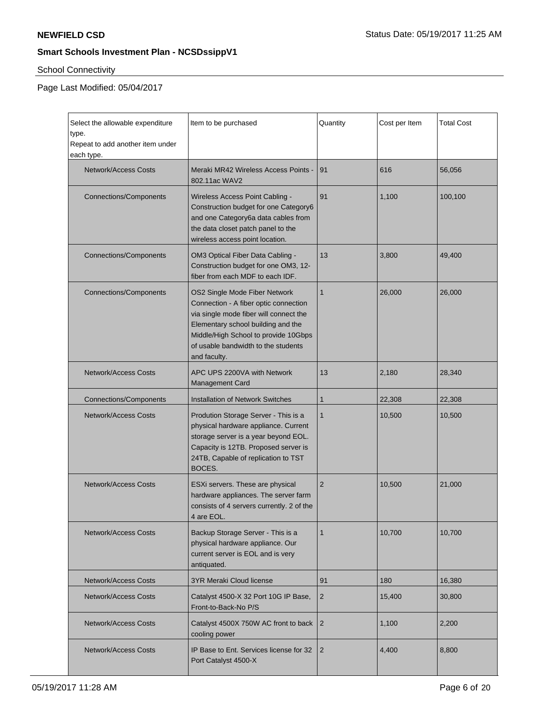# School Connectivity

 $\mathbf{r}$ 

Page Last Modified: 05/04/2017

| Select the allowable expenditure<br>type.<br>Repeat to add another item under<br>each type. | Item to be purchased                                                                                                                                                                                                                                  | Quantity       | Cost per Item | <b>Total Cost</b> |
|---------------------------------------------------------------------------------------------|-------------------------------------------------------------------------------------------------------------------------------------------------------------------------------------------------------------------------------------------------------|----------------|---------------|-------------------|
| <b>Network/Access Costs</b>                                                                 | Meraki MR42 Wireless Access Points -<br>802.11ac WAV2                                                                                                                                                                                                 | 91             | 616           | 56,056            |
| <b>Connections/Components</b>                                                               | Wireless Access Point Cabling -<br>Construction budget for one Category6<br>and one Category6a data cables from<br>the data closet patch panel to the<br>wireless access point location.                                                              | 91             | 1,100         | 100,100           |
| <b>Connections/Components</b>                                                               | OM3 Optical Fiber Data Cabling -<br>Construction budget for one OM3, 12-<br>fiber from each MDF to each IDF.                                                                                                                                          | 13             | 3,800         | 49,400            |
| <b>Connections/Components</b>                                                               | OS2 Single Mode Fiber Network<br>Connection - A fiber optic connection<br>via single mode fiber will connect the<br>Elementary school building and the<br>Middle/High School to provide 10Gbps<br>of usable bandwidth to the students<br>and faculty. | $\mathbf{1}$   | 26,000        | 26,000            |
| Network/Access Costs                                                                        | APC UPS 2200VA with Network<br>13<br>Management Card                                                                                                                                                                                                  |                | 2,180         | 28,340            |
| <b>Connections/Components</b>                                                               | <b>Installation of Network Switches</b>                                                                                                                                                                                                               | $\mathbf{1}$   | 22,308        | 22,308            |
| <b>Network/Access Costs</b>                                                                 | Prodution Storage Server - This is a<br>physical hardware appliance. Current<br>storage server is a year beyond EOL.<br>Capacity is 12TB. Proposed server is<br>24TB, Capable of replication to TST<br>BOCES.                                         | $\mathbf{1}$   | 10,500        | 10,500            |
| <b>Network/Access Costs</b>                                                                 | ESXi servers. These are physical<br>hardware appliances. The server farm<br>consists of 4 servers currently. 2 of the<br>4 are EOL.                                                                                                                   | $\overline{2}$ | 10,500        | 21,000            |
| <b>Network/Access Costs</b>                                                                 | Backup Storage Server - This is a<br>physical hardware appliance. Our<br>current server is EOL and is very<br>antiquated.                                                                                                                             | $\mathbf{1}$   | 10,700        | 10,700            |
| <b>Network/Access Costs</b>                                                                 | <b>3YR Meraki Cloud license</b>                                                                                                                                                                                                                       | 91             | 180           | 16,380            |
| <b>Network/Access Costs</b>                                                                 | Catalyst 4500-X 32 Port 10G IP Base,<br>Front-to-Back-No P/S                                                                                                                                                                                          | $\overline{2}$ | 15,400        | 30,800            |
| <b>Network/Access Costs</b>                                                                 | Catalyst 4500X 750W AC front to back<br>cooling power                                                                                                                                                                                                 | $\overline{2}$ | 1,100         | 2,200             |
| <b>Network/Access Costs</b>                                                                 | IP Base to Ent. Services license for 32<br>Port Catalyst 4500-X                                                                                                                                                                                       | $\overline{2}$ | 4,400         | 8,800             |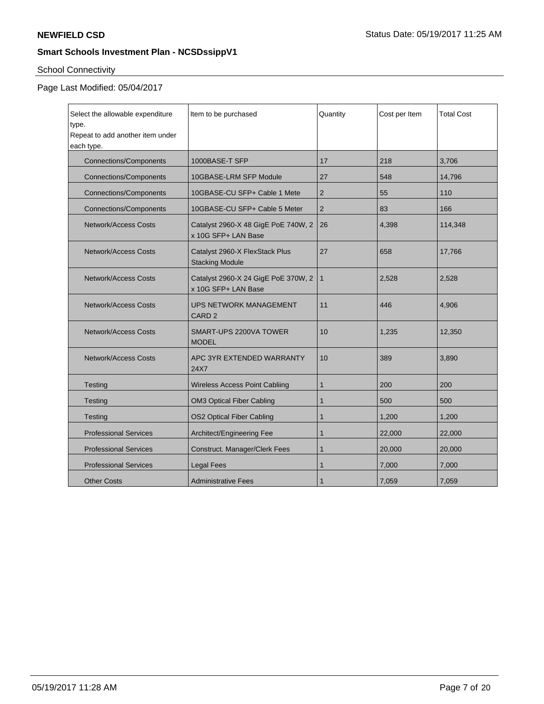# School Connectivity

## Page Last Modified: 05/04/2017

| Select the allowable expenditure<br>type.<br>Repeat to add another item under<br>each type. | Item to be purchased                                       | Quantity       | Cost per Item | <b>Total Cost</b> |
|---------------------------------------------------------------------------------------------|------------------------------------------------------------|----------------|---------------|-------------------|
| <b>Connections/Components</b>                                                               | 1000BASE-T SFP                                             | 17             | 218           | 3,706             |
| <b>Connections/Components</b>                                                               | 10GBASE-LRM SFP Module                                     | 27             | 548           | 14,796            |
| <b>Connections/Components</b>                                                               | 10GBASE-CU SFP+ Cable 1 Mete                               | $\overline{2}$ | 55            | 110               |
| <b>Connections/Components</b>                                                               | 10GBASE-CU SFP+ Cable 5 Meter                              | $\overline{2}$ | 83            | 166               |
| Network/Access Costs                                                                        | Catalyst 2960-X 48 GigE PoE 740W, 2<br>x 10G SFP+ LAN Base | 26             | 4,398         | 114,348           |
| <b>Network/Access Costs</b>                                                                 | Catalyst 2960-X FlexStack Plus<br><b>Stacking Module</b>   | 27             | 658           | 17,766            |
| <b>Network/Access Costs</b>                                                                 | Catalyst 2960-X 24 GigE PoE 370W, 2<br>x 10G SFP+ LAN Base | $\mathbf{1}$   | 2,528         | 2,528             |
| <b>Network/Access Costs</b>                                                                 | UPS NETWORK MANAGEMENT<br>CARD <sub>2</sub>                | 11             | 446           | 4,906             |
| Network/Access Costs                                                                        | SMART-UPS 2200VA TOWER<br><b>MODEL</b>                     | 10             | 1.235         | 12,350            |
| Network/Access Costs                                                                        | APC 3YR EXTENDED WARRANTY<br>24X7                          | 10             | 389           | 3,890             |
| Testing                                                                                     | <b>Wireless Access Point Cabliing</b>                      | $\mathbf{1}$   | 200           | 200               |
| Testing                                                                                     | <b>OM3 Optical Fiber Cabling</b>                           | 1              | 500           | 500               |
| Testing                                                                                     | <b>OS2 Optical Fiber Cabling</b>                           | 1              | 1,200         | 1,200             |
| <b>Professional Services</b>                                                                | Architect/Engineering Fee                                  | 1              | 22,000        | 22,000            |
| <b>Professional Services</b>                                                                | Construct. Manager/Clerk Fees                              | $\mathbf{1}$   | 20,000        | 20,000            |
| <b>Professional Services</b>                                                                | <b>Legal Fees</b>                                          | $\mathbf{1}$   | 7,000         | 7,000             |
| <b>Other Costs</b>                                                                          | <b>Administrative Fees</b>                                 | 1              | 7,059         | 7,059             |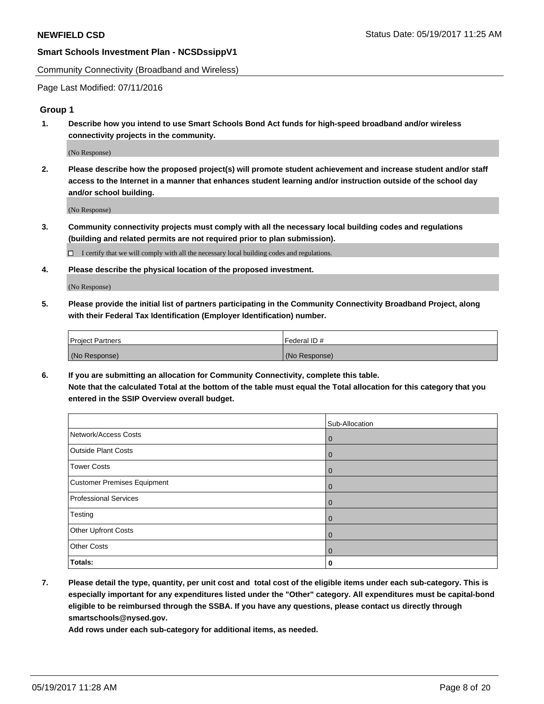Community Connectivity (Broadband and Wireless)

Page Last Modified: 07/11/2016

#### **Group 1**

**1. Describe how you intend to use Smart Schools Bond Act funds for high-speed broadband and/or wireless connectivity projects in the community.**

(No Response)

**2. Please describe how the proposed project(s) will promote student achievement and increase student and/or staff access to the Internet in a manner that enhances student learning and/or instruction outside of the school day and/or school building.**

(No Response)

**3. Community connectivity projects must comply with all the necessary local building codes and regulations (building and related permits are not required prior to plan submission).**

 $\Box$  I certify that we will comply with all the necessary local building codes and regulations.

**4. Please describe the physical location of the proposed investment.**

(No Response)

**5. Please provide the initial list of partners participating in the Community Connectivity Broadband Project, along with their Federal Tax Identification (Employer Identification) number.**

| <b>Project Partners</b> | Federal ID#     |
|-------------------------|-----------------|
| (No Response)           | l (No Response) |

**6. If you are submitting an allocation for Community Connectivity, complete this table. Note that the calculated Total at the bottom of the table must equal the Total allocation for this category that you entered in the SSIP Overview overall budget.**

|                              | Sub-Allocation |
|------------------------------|----------------|
| Network/Access Costs         | $\mathbf 0$    |
| <b>Outside Plant Costs</b>   | $\mathbf 0$    |
| Tower Costs                  | $\mathbf 0$    |
| Customer Premises Equipment  | $\overline{0}$ |
| <b>Professional Services</b> | l 0            |
| Testing                      | $\overline{0}$ |
| Other Upfront Costs          | $\overline{0}$ |
| <b>Other Costs</b>           | $\mathbf 0$    |
| Totals:                      | 0              |

**7. Please detail the type, quantity, per unit cost and total cost of the eligible items under each sub-category. This is especially important for any expenditures listed under the "Other" category. All expenditures must be capital-bond eligible to be reimbursed through the SSBA. If you have any questions, please contact us directly through smartschools@nysed.gov.**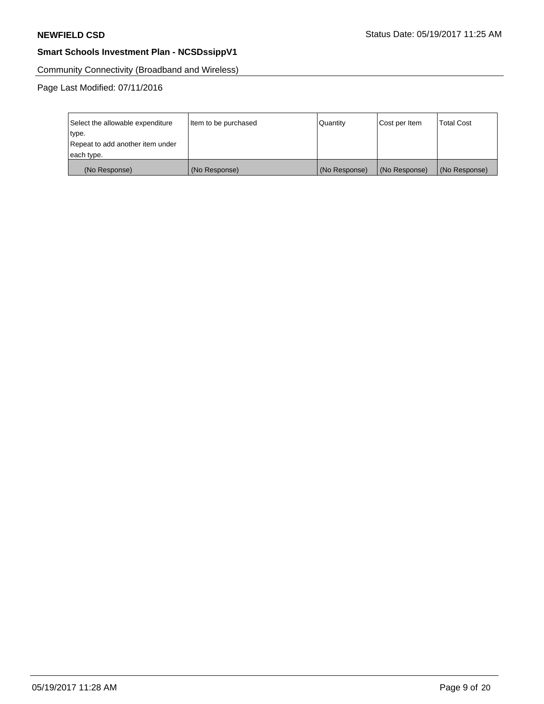Community Connectivity (Broadband and Wireless)

Page Last Modified: 07/11/2016

| Select the allowable expenditure | Item to be purchased | Quantity      | Cost per Item | <b>Total Cost</b> |
|----------------------------------|----------------------|---------------|---------------|-------------------|
| type.                            |                      |               |               |                   |
| Repeat to add another item under |                      |               |               |                   |
| each type.                       |                      |               |               |                   |
| (No Response)                    | (No Response)        | (No Response) | (No Response) | (No Response)     |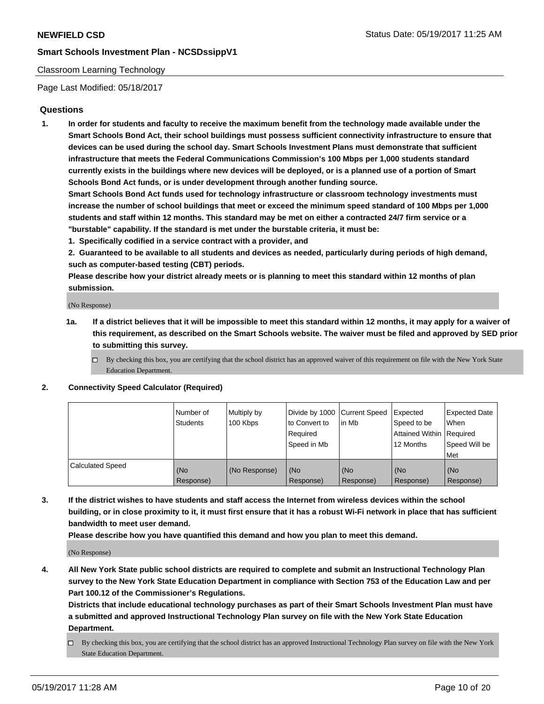#### Classroom Learning Technology

Page Last Modified: 05/18/2017

## **Questions**

**1. In order for students and faculty to receive the maximum benefit from the technology made available under the Smart Schools Bond Act, their school buildings must possess sufficient connectivity infrastructure to ensure that devices can be used during the school day. Smart Schools Investment Plans must demonstrate that sufficient infrastructure that meets the Federal Communications Commission's 100 Mbps per 1,000 students standard currently exists in the buildings where new devices will be deployed, or is a planned use of a portion of Smart Schools Bond Act funds, or is under development through another funding source.**

**Smart Schools Bond Act funds used for technology infrastructure or classroom technology investments must increase the number of school buildings that meet or exceed the minimum speed standard of 100 Mbps per 1,000 students and staff within 12 months. This standard may be met on either a contracted 24/7 firm service or a "burstable" capability. If the standard is met under the burstable criteria, it must be:**

- **1. Specifically codified in a service contract with a provider, and**
- **2. Guaranteed to be available to all students and devices as needed, particularly during periods of high demand, such as computer-based testing (CBT) periods.**

**Please describe how your district already meets or is planning to meet this standard within 12 months of plan submission.**

(No Response)

- **1a. If a district believes that it will be impossible to meet this standard within 12 months, it may apply for a waiver of this requirement, as described on the Smart Schools website. The waiver must be filed and approved by SED prior to submitting this survey.**
	- $\Box$  By checking this box, you are certifying that the school district has an approved waiver of this requirement on file with the New York State Education Department.

#### **2. Connectivity Speed Calculator (Required)**

|                         | l Number of<br>Students | Multiply by<br>100 Kbps | Divide by 1000   Current Speed<br>to Convert to<br>Required<br>Speed in Mb | lin Mb           | Expected<br>Speed to be<br>Attained Within Required<br>12 Months | <b>Expected Date</b><br>When<br>Speed Will be<br>Met |
|-------------------------|-------------------------|-------------------------|----------------------------------------------------------------------------|------------------|------------------------------------------------------------------|------------------------------------------------------|
| <b>Calculated Speed</b> | (No<br>Response)        | (No Response)           | (No<br>Response)                                                           | (No<br>Response) | (No<br>Response)                                                 | (No<br>Response)                                     |

**3. If the district wishes to have students and staff access the Internet from wireless devices within the school building, or in close proximity to it, it must first ensure that it has a robust Wi-Fi network in place that has sufficient bandwidth to meet user demand.**

**Please describe how you have quantified this demand and how you plan to meet this demand.**

(No Response)

**4. All New York State public school districts are required to complete and submit an Instructional Technology Plan survey to the New York State Education Department in compliance with Section 753 of the Education Law and per Part 100.12 of the Commissioner's Regulations.**

**Districts that include educational technology purchases as part of their Smart Schools Investment Plan must have a submitted and approved Instructional Technology Plan survey on file with the New York State Education Department.**

 $\Box$  By checking this box, you are certifying that the school district has an approved Instructional Technology Plan survey on file with the New York State Education Department.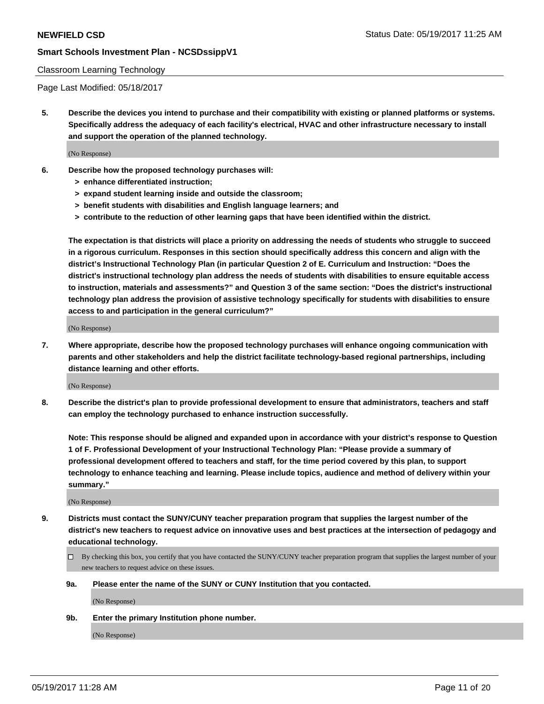#### Classroom Learning Technology

Page Last Modified: 05/18/2017

**5. Describe the devices you intend to purchase and their compatibility with existing or planned platforms or systems. Specifically address the adequacy of each facility's electrical, HVAC and other infrastructure necessary to install and support the operation of the planned technology.**

(No Response)

- **6. Describe how the proposed technology purchases will:**
	- **> enhance differentiated instruction;**
	- **> expand student learning inside and outside the classroom;**
	- **> benefit students with disabilities and English language learners; and**
	- **> contribute to the reduction of other learning gaps that have been identified within the district.**

**The expectation is that districts will place a priority on addressing the needs of students who struggle to succeed in a rigorous curriculum. Responses in this section should specifically address this concern and align with the district's Instructional Technology Plan (in particular Question 2 of E. Curriculum and Instruction: "Does the district's instructional technology plan address the needs of students with disabilities to ensure equitable access to instruction, materials and assessments?" and Question 3 of the same section: "Does the district's instructional technology plan address the provision of assistive technology specifically for students with disabilities to ensure access to and participation in the general curriculum?"**

(No Response)

**7. Where appropriate, describe how the proposed technology purchases will enhance ongoing communication with parents and other stakeholders and help the district facilitate technology-based regional partnerships, including distance learning and other efforts.**

(No Response)

**8. Describe the district's plan to provide professional development to ensure that administrators, teachers and staff can employ the technology purchased to enhance instruction successfully.**

**Note: This response should be aligned and expanded upon in accordance with your district's response to Question 1 of F. Professional Development of your Instructional Technology Plan: "Please provide a summary of professional development offered to teachers and staff, for the time period covered by this plan, to support technology to enhance teaching and learning. Please include topics, audience and method of delivery within your summary."**

(No Response)

- **9. Districts must contact the SUNY/CUNY teacher preparation program that supplies the largest number of the district's new teachers to request advice on innovative uses and best practices at the intersection of pedagogy and educational technology.**
	- By checking this box, you certify that you have contacted the SUNY/CUNY teacher preparation program that supplies the largest number of your new teachers to request advice on these issues.
	- **9a. Please enter the name of the SUNY or CUNY Institution that you contacted.**

(No Response)

**9b. Enter the primary Institution phone number.**

(No Response)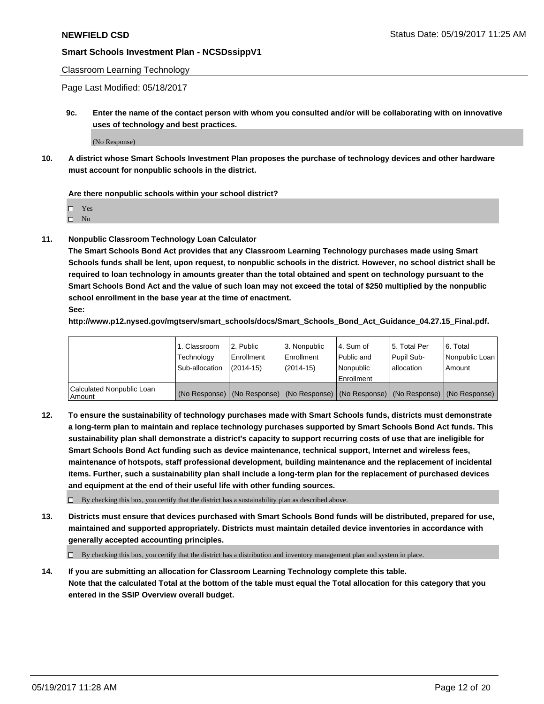#### Classroom Learning Technology

Page Last Modified: 05/18/2017

**9c. Enter the name of the contact person with whom you consulted and/or will be collaborating with on innovative uses of technology and best practices.**

(No Response)

**10. A district whose Smart Schools Investment Plan proposes the purchase of technology devices and other hardware must account for nonpublic schools in the district.**

**Are there nonpublic schools within your school district?**

Yes

 $\square$  No

**11. Nonpublic Classroom Technology Loan Calculator**

**The Smart Schools Bond Act provides that any Classroom Learning Technology purchases made using Smart Schools funds shall be lent, upon request, to nonpublic schools in the district. However, no school district shall be required to loan technology in amounts greater than the total obtained and spent on technology pursuant to the Smart Schools Bond Act and the value of such loan may not exceed the total of \$250 multiplied by the nonpublic school enrollment in the base year at the time of enactment.**

**See:**

**http://www.p12.nysed.gov/mgtserv/smart\_schools/docs/Smart\_Schools\_Bond\_Act\_Guidance\_04.27.15\_Final.pdf.**

|                                       | 1. Classroom   | 2. Public  | 3. Nonpublic | l 4. Sum of | l 5. Total Per | l 6. Total                                                                                    |
|---------------------------------------|----------------|------------|--------------|-------------|----------------|-----------------------------------------------------------------------------------------------|
|                                       | Technology     | Enrollment | Enrollment   | Public and  | Pupil Sub-     | Nonpublic Loan                                                                                |
|                                       | Sub-allocation | (2014-15)  | (2014-15)    | l Nonpublic | allocation     | Amount                                                                                        |
|                                       |                |            |              | Enrollment  |                |                                                                                               |
| Calculated Nonpublic Loan<br>  Amount |                |            |              |             |                | (No Response)   (No Response)   (No Response)   (No Response)   (No Response)   (No Response) |

**12. To ensure the sustainability of technology purchases made with Smart Schools funds, districts must demonstrate a long-term plan to maintain and replace technology purchases supported by Smart Schools Bond Act funds. This sustainability plan shall demonstrate a district's capacity to support recurring costs of use that are ineligible for Smart Schools Bond Act funding such as device maintenance, technical support, Internet and wireless fees, maintenance of hotspots, staff professional development, building maintenance and the replacement of incidental items. Further, such a sustainability plan shall include a long-term plan for the replacement of purchased devices and equipment at the end of their useful life with other funding sources.**

 $\Box$  By checking this box, you certify that the district has a sustainability plan as described above.

**13. Districts must ensure that devices purchased with Smart Schools Bond funds will be distributed, prepared for use, maintained and supported appropriately. Districts must maintain detailed device inventories in accordance with generally accepted accounting principles.**

By checking this box, you certify that the district has a distribution and inventory management plan and system in place.

**14. If you are submitting an allocation for Classroom Learning Technology complete this table. Note that the calculated Total at the bottom of the table must equal the Total allocation for this category that you entered in the SSIP Overview overall budget.**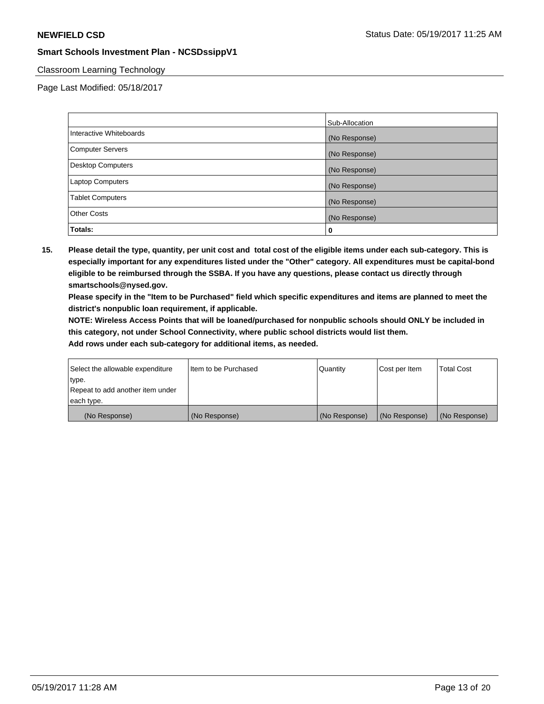## Classroom Learning Technology

Page Last Modified: 05/18/2017

|                          | Sub-Allocation |
|--------------------------|----------------|
| Interactive Whiteboards  | (No Response)  |
| Computer Servers         | (No Response)  |
| <b>Desktop Computers</b> | (No Response)  |
| <b>Laptop Computers</b>  | (No Response)  |
| <b>Tablet Computers</b>  | (No Response)  |
| <b>Other Costs</b>       | (No Response)  |
| Totals:                  | 0              |

**15. Please detail the type, quantity, per unit cost and total cost of the eligible items under each sub-category. This is especially important for any expenditures listed under the "Other" category. All expenditures must be capital-bond eligible to be reimbursed through the SSBA. If you have any questions, please contact us directly through smartschools@nysed.gov.**

**Please specify in the "Item to be Purchased" field which specific expenditures and items are planned to meet the district's nonpublic loan requirement, if applicable.**

**NOTE: Wireless Access Points that will be loaned/purchased for nonpublic schools should ONLY be included in this category, not under School Connectivity, where public school districts would list them.**

| (No Response)                    | (No Response)        | (No Response) | (No Response) | (No Response)     |
|----------------------------------|----------------------|---------------|---------------|-------------------|
| each type.                       |                      |               |               |                   |
| Repeat to add another item under |                      |               |               |                   |
| ∣type.                           |                      |               |               |                   |
| Select the allowable expenditure | Item to be Purchased | Quantity      | Cost per Item | <b>Total Cost</b> |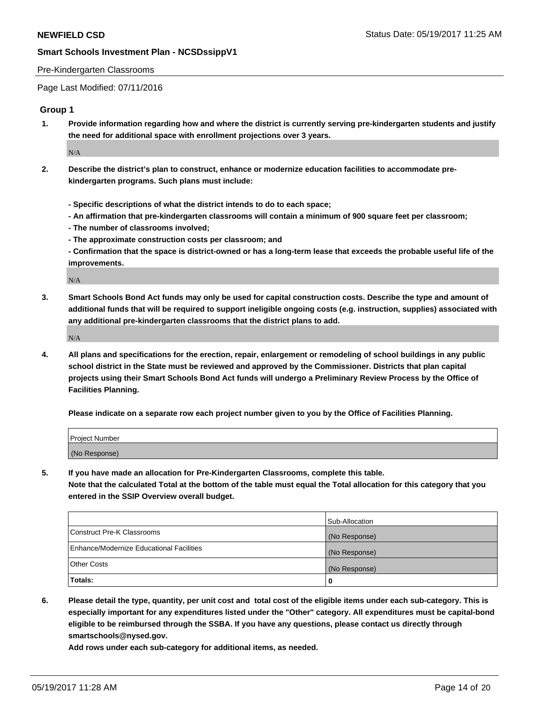#### Pre-Kindergarten Classrooms

Page Last Modified: 07/11/2016

#### **Group 1**

**1. Provide information regarding how and where the district is currently serving pre-kindergarten students and justify the need for additional space with enrollment projections over 3 years.**

 $\rm N/A$ 

- **2. Describe the district's plan to construct, enhance or modernize education facilities to accommodate prekindergarten programs. Such plans must include:**
	- **Specific descriptions of what the district intends to do to each space;**
	- **An affirmation that pre-kindergarten classrooms will contain a minimum of 900 square feet per classroom;**
	- **The number of classrooms involved;**
	- **The approximate construction costs per classroom; and**
	- **Confirmation that the space is district-owned or has a long-term lease that exceeds the probable useful life of the improvements.**

N/A

**3. Smart Schools Bond Act funds may only be used for capital construction costs. Describe the type and amount of additional funds that will be required to support ineligible ongoing costs (e.g. instruction, supplies) associated with any additional pre-kindergarten classrooms that the district plans to add.**

N/A

**4. All plans and specifications for the erection, repair, enlargement or remodeling of school buildings in any public school district in the State must be reviewed and approved by the Commissioner. Districts that plan capital projects using their Smart Schools Bond Act funds will undergo a Preliminary Review Process by the Office of Facilities Planning.**

**Please indicate on a separate row each project number given to you by the Office of Facilities Planning.**

| <b>Project Number</b> |  |
|-----------------------|--|
| (No Response)         |  |

**5. If you have made an allocation for Pre-Kindergarten Classrooms, complete this table. Note that the calculated Total at the bottom of the table must equal the Total allocation for this category that you entered in the SSIP Overview overall budget.**

| Totals:                                  | 0              |
|------------------------------------------|----------------|
| Other Costs                              | (No Response)  |
| Enhance/Modernize Educational Facilities | (No Response)  |
| Construct Pre-K Classrooms               | (No Response)  |
|                                          | Sub-Allocation |

**6. Please detail the type, quantity, per unit cost and total cost of the eligible items under each sub-category. This is especially important for any expenditures listed under the "Other" category. All expenditures must be capital-bond eligible to be reimbursed through the SSBA. If you have any questions, please contact us directly through smartschools@nysed.gov.**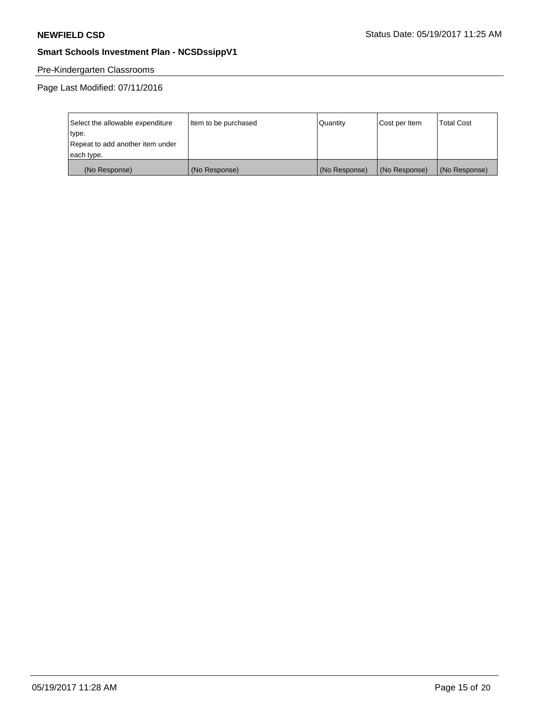# Pre-Kindergarten Classrooms

Page Last Modified: 07/11/2016

| Select the allowable expenditure | Item to be purchased | Quantity      | Cost per Item | <b>Total Cost</b> |
|----------------------------------|----------------------|---------------|---------------|-------------------|
| type.                            |                      |               |               |                   |
| Repeat to add another item under |                      |               |               |                   |
| each type.                       |                      |               |               |                   |
| (No Response)                    | (No Response)        | (No Response) | (No Response) | (No Response)     |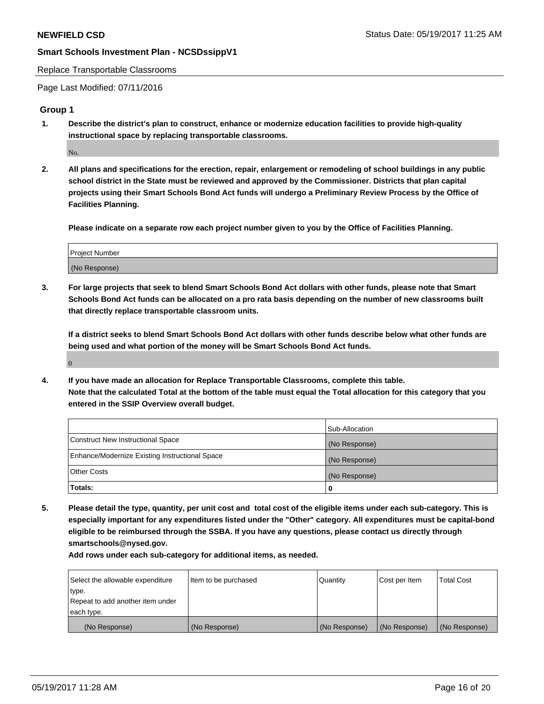#### Replace Transportable Classrooms

Page Last Modified: 07/11/2016

#### **Group 1**

**1. Describe the district's plan to construct, enhance or modernize education facilities to provide high-quality instructional space by replacing transportable classrooms.**

No.

**2. All plans and specifications for the erection, repair, enlargement or remodeling of school buildings in any public school district in the State must be reviewed and approved by the Commissioner. Districts that plan capital projects using their Smart Schools Bond Act funds will undergo a Preliminary Review Process by the Office of Facilities Planning.**

**Please indicate on a separate row each project number given to you by the Office of Facilities Planning.**

| Project Number |  |
|----------------|--|
| (No Response)  |  |

**3. For large projects that seek to blend Smart Schools Bond Act dollars with other funds, please note that Smart Schools Bond Act funds can be allocated on a pro rata basis depending on the number of new classrooms built that directly replace transportable classroom units.**

**If a district seeks to blend Smart Schools Bond Act dollars with other funds describe below what other funds are being used and what portion of the money will be Smart Schools Bond Act funds.**

0

**4. If you have made an allocation for Replace Transportable Classrooms, complete this table. Note that the calculated Total at the bottom of the table must equal the Total allocation for this category that you entered in the SSIP Overview overall budget.**

|                                                | Sub-Allocation |
|------------------------------------------------|----------------|
| Construct New Instructional Space              | (No Response)  |
| Enhance/Modernize Existing Instructional Space | (No Response)  |
| Other Costs                                    | (No Response)  |
| Totals:                                        | $\Omega$       |

**5. Please detail the type, quantity, per unit cost and total cost of the eligible items under each sub-category. This is especially important for any expenditures listed under the "Other" category. All expenditures must be capital-bond eligible to be reimbursed through the SSBA. If you have any questions, please contact us directly through smartschools@nysed.gov.**

| Select the allowable expenditure | Item to be purchased | Quantity      | Cost per Item | <b>Total Cost</b> |
|----------------------------------|----------------------|---------------|---------------|-------------------|
| type.                            |                      |               |               |                   |
| Repeat to add another item under |                      |               |               |                   |
| each type.                       |                      |               |               |                   |
| (No Response)                    | (No Response)        | (No Response) | (No Response) | (No Response)     |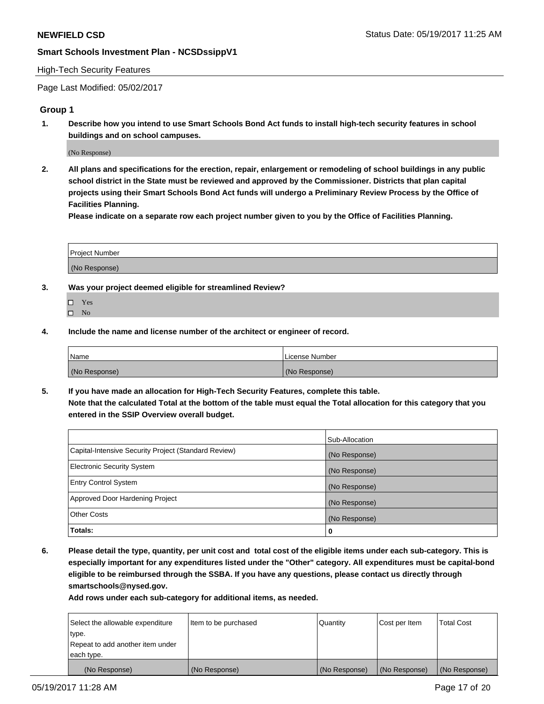#### High-Tech Security Features

Page Last Modified: 05/02/2017

#### **Group 1**

**1. Describe how you intend to use Smart Schools Bond Act funds to install high-tech security features in school buildings and on school campuses.**

(No Response)

**2. All plans and specifications for the erection, repair, enlargement or remodeling of school buildings in any public school district in the State must be reviewed and approved by the Commissioner. Districts that plan capital projects using their Smart Schools Bond Act funds will undergo a Preliminary Review Process by the Office of Facilities Planning.** 

**Please indicate on a separate row each project number given to you by the Office of Facilities Planning.**

| Project Number |  |
|----------------|--|
|                |  |
|                |  |
|                |  |
| (No Response)  |  |
|                |  |

- **3. Was your project deemed eligible for streamlined Review?**
	- Yes  $\hfill \square$  No
- **4. Include the name and license number of the architect or engineer of record.**

| Name          | License Number |
|---------------|----------------|
| (No Response) | (No Response)  |

**5. If you have made an allocation for High-Tech Security Features, complete this table. Note that the calculated Total at the bottom of the table must equal the Total allocation for this category that you entered in the SSIP Overview overall budget.**

|                                                      | Sub-Allocation |
|------------------------------------------------------|----------------|
| Capital-Intensive Security Project (Standard Review) | (No Response)  |
| <b>Electronic Security System</b>                    | (No Response)  |
| <b>Entry Control System</b>                          | (No Response)  |
| Approved Door Hardening Project                      | (No Response)  |
| <b>Other Costs</b>                                   | (No Response)  |
| Totals:                                              | 0              |

**6. Please detail the type, quantity, per unit cost and total cost of the eligible items under each sub-category. This is especially important for any expenditures listed under the "Other" category. All expenditures must be capital-bond eligible to be reimbursed through the SSBA. If you have any questions, please contact us directly through smartschools@nysed.gov.**

| (No Response)                    | (No Response)        | (No Response)   | (No Response) | (No Response)     |
|----------------------------------|----------------------|-----------------|---------------|-------------------|
| each type.                       |                      |                 |               |                   |
| Repeat to add another item under |                      |                 |               |                   |
| type.                            |                      |                 |               |                   |
| Select the allowable expenditure | Item to be purchased | <b>Quantity</b> | Cost per Item | <b>Total Cost</b> |
|                                  |                      |                 |               |                   |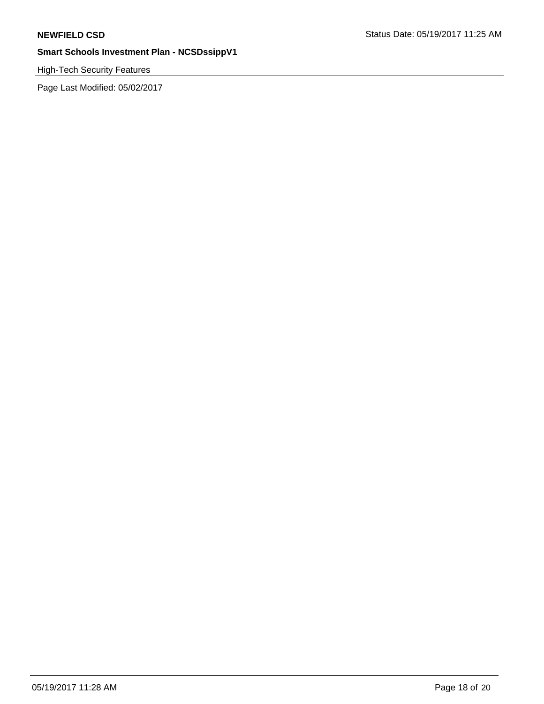# High-Tech Security Features

Page Last Modified: 05/02/2017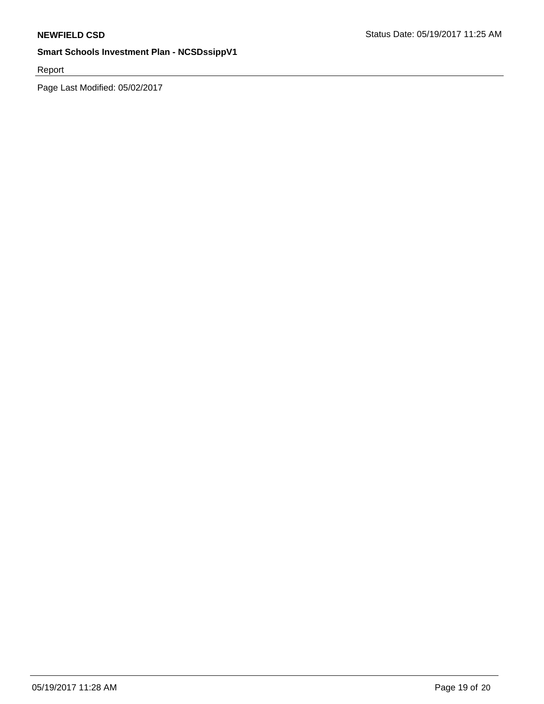Report

Page Last Modified: 05/02/2017